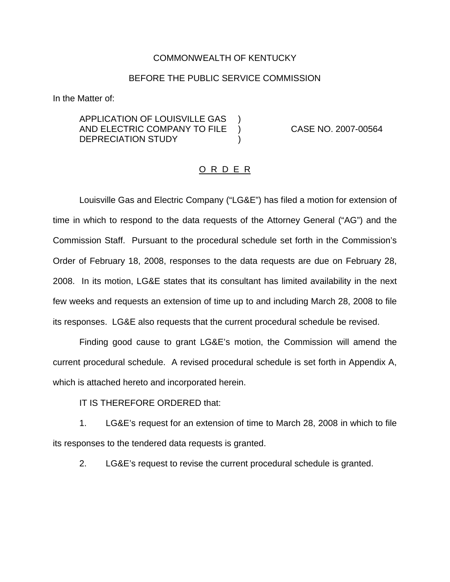#### COMMONWEALTH OF KENTUCKY

#### BEFORE THE PUBLIC SERVICE COMMISSION

In the Matter of:

APPLICATION OF LOUISVILLE GAS ) AND ELECTRIC COMPANY TO FILE ) CASE NO. 2007-00564 DEPRECIATION STUDY (1)

### O R D E R

Louisville Gas and Electric Company ("LG&E") has filed a motion for extension of time in which to respond to the data requests of the Attorney General ("AG") and the Commission Staff. Pursuant to the procedural schedule set forth in the Commission's Order of February 18, 2008, responses to the data requests are due on February 28, 2008. In its motion, LG&E states that its consultant has limited availability in the next few weeks and requests an extension of time up to and including March 28, 2008 to file its responses. LG&E also requests that the current procedural schedule be revised.

Finding good cause to grant LG&E's motion, the Commission will amend the current procedural schedule. A revised procedural schedule is set forth in Appendix A, which is attached hereto and incorporated herein.

IT IS THEREFORE ORDERED that:

1. LG&E's request for an extension of time to March 28, 2008 in which to file its responses to the tendered data requests is granted.

2. LG&E's request to revise the current procedural schedule is granted.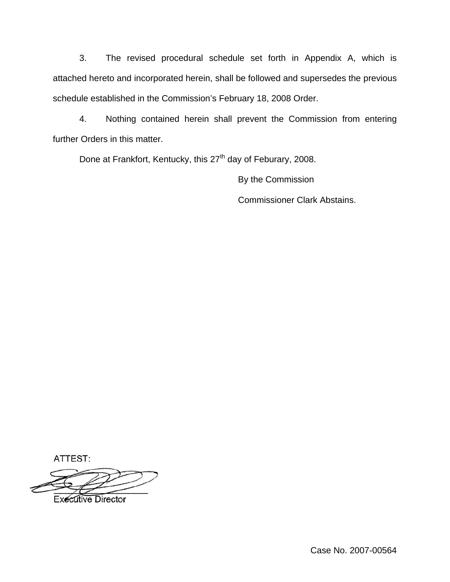3. The revised procedural schedule set forth in Appendix A, which is attached hereto and incorporated herein, shall be followed and supersedes the previous schedule established in the Commission's February 18, 2008 Order.

4. Nothing contained herein shall prevent the Commission from entering further Orders in this matter.

Done at Frankfort, Kentucky, this 27<sup>th</sup> day of Feburary, 2008.

By the Commission Commissioner Clark Abstains.

ATTEST:

**Executive Director** 

Case No. 2007-00564